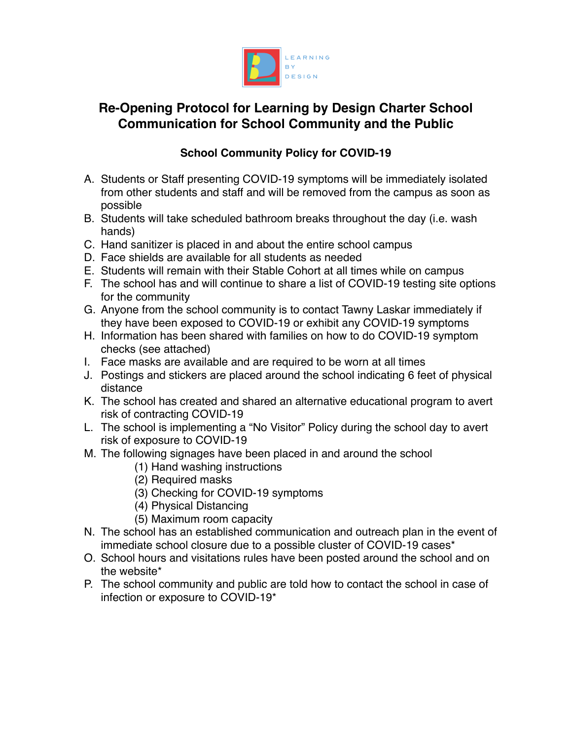

## **Re-Opening Protocol for Learning by Design Charter School Communication for School Community and the Public**

## **School Community Policy for COVID-19**

- A. Students or Staff presenting COVID-19 symptoms will be immediately isolated from other students and staff and will be removed from the campus as soon as possible
- B. Students will take scheduled bathroom breaks throughout the day (i.e. wash hands)
- C. Hand sanitizer is placed in and about the entire school campus
- D. Face shields are available for all students as needed
- E. Students will remain with their Stable Cohort at all times while on campus
- F. The school has and will continue to share a list of COVID-19 testing site options for the community
- G. Anyone from the school community is to contact Tawny Laskar immediately if they have been exposed to COVID-19 or exhibit any COVID-19 symptoms
- H. Information has been shared with families on how to do COVID-19 symptom checks (see attached)
- I. Face masks are available and are required to be worn at all times
- J. Postings and stickers are placed around the school indicating 6 feet of physical distance
- K. The school has created and shared an alternative educational program to avert risk of contracting COVID-19
- L. The school is implementing a "No Visitor" Policy during the school day to avert risk of exposure to COVID-19
- M. The following signages have been placed in and around the school
	- (1) Hand washing instructions
	- (2) Required masks
	- (3) Checking for COVID-19 symptoms
	- (4) Physical Distancing
	- (5) Maximum room capacity
- N. The school has an established communication and outreach plan in the event of immediate school closure due to a possible cluster of COVID-19 cases\*
- O. School hours and visitations rules have been posted around the school and on the website\*
- P. The school community and public are told how to contact the school in case of infection or exposure to COVID-19\*